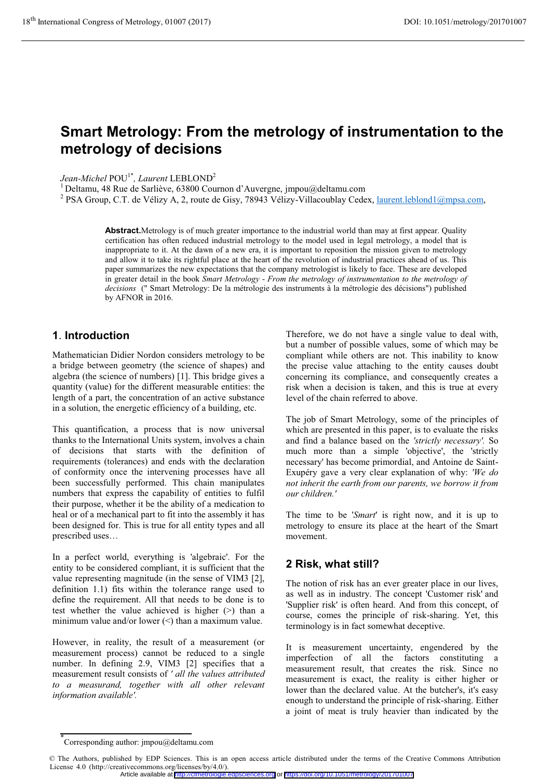# **Smart Metrology: From the metrology of instrumentation to the metrology of decisions**

*Jean-Michel* POU1\**, Laurent* LEBLOND<sup>2</sup>

 $1$  Deltamu, 48 Rue de Sarliève, 63800 Cournon d'Auvergne, jmpou@deltamu.com

<sup>2</sup> PSA Group, C.T. de Vélizy A, 2, route de Gisy, 78943 Vélizy-Villacoublay Cedex, laurent.leblond1@mpsa.com,

**Abstract.**Metrology is of much greater importance to the industrial world than may at first appear. Quality certification has often reduced industrial metrology to the model used in legal metrology, a model that is inappropriate to it. At the dawn of a new era, it is important to reposition the mission given to metrology and allow it to take its rightful place at the heart of the revolution of industrial practices ahead of us. This paper summarizes the new expectations that the company metrologist is likely to face. These are developed in greater detail in the book *Smart Metrology - From the metrology of instrumentation to the metrology of decisions* (" Smart Metrology: De la métrologie des instruments à la métrologie des décisions") published by AFNOR in 2016.

### **1**. **Introduction**

Mathematician Didier Nordon considers metrology to be a bridge between geometry (the science of shapes) and algebra (the science of numbers) [1]. This bridge gives a quantity (value) for the different measurable entities: the length of a part, the concentration of an active substance in a solution, the energetic efficiency of a building, etc.

This quantification, a process that is now universal thanks to the International Units system, involves a chain of decisions that starts with the definition of requirements (tolerances) and ends with the declaration of conformity once the intervening processes have all been successfully performed. This chain manipulates numbers that express the capability of entities to fulfil their purpose, whether it be the ability of a medication to heal or of a mechanical part to fit into the assembly it has been designed for. This is true for all entity types and all prescribed uses…

In a perfect world, everything is 'algebraic'. For the entity to be considered compliant, it is sufficient that the value representing magnitude (in the sense of VIM3 [2], definition 1.1) fits within the tolerance range used to define the requirement. All that needs to be done is to test whether the value achieved is higher (>) than a minimum value and/or lower (<) than a maximum value.

However, in reality, the result of a measurement (or measurement process) cannot be reduced to a single number. In defining 2.9, VIM3 [2] specifies that a measurement result consists of *' all the values attributed to a measurand, together with all other relevant information available'.*

Therefore, we do not have a single value to deal with, but a number of possible values, some of which may be compliant while others are not. This inability to know the precise value attaching to the entity causes doubt concerning its compliance, and consequently creates a risk when a decision is taken, and this is true at every level of the chain referred to above.

The job of Smart Metrology, some of the principles of which are presented in this paper, is to evaluate the risks and find a balance based on the *'strictly necessary'.* So much more than a simple 'objective', the 'strictly necessary' has become primordial, and Antoine de Saint-Exupéry gave a very clear explanation of why: *'We do not inherit the earth from our parents, we borrow it from our children.'* 

The time to be '*Smart*' is right now, and it is up to metrology to ensure its place at the heart of the Smart movement.

### **2 Risk, what still?**

The notion of risk has an ever greater place in our lives, as well as in industry. The concept 'Customer risk' and 'Supplier risk' is often heard. And from this concept, of course, comes the principle of risk-sharing. Yet, this terminology is in fact somewhat deceptive.

It is measurement uncertainty, engendered by the imperfection of all the factors constituting a measurement result, that creates the risk. Since no measurement is exact, the reality is either higher or lower than the declared value. At the butcher's, it's easy enough to understand the principle of risk-sharing. Either a joint of meat is truly heavier than indicated by the

<sup>\*</sup> Corresponding author: jmpou@deltamu.com

<sup>©</sup> The Authors, published by EDP Sciences. This is an open access article distributed under the terms of the Creative Commons Attribution License 4.0 (http://creativecommons.org/licenses/by/4.0/).

Article available at <http://cfmetrologie.edpsciences.org> or <https://doi.org/10.1051/metrology/201701007>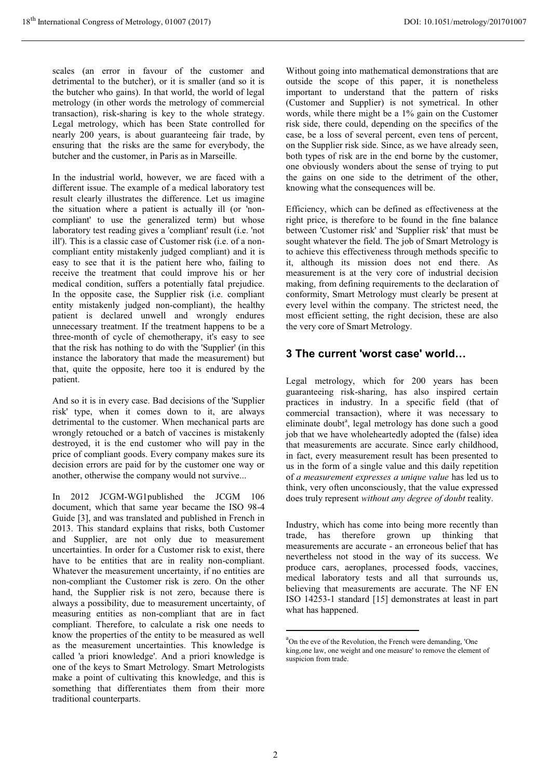scales (an error in favour of the customer and detrimental to the butcher), or it is smaller (and so it is the butcher who gains). In that world, the world of legal metrology (in other words the metrology of commercial transaction), risk-sharing is key to the whole strategy. Legal metrology, which has been State controlled for nearly 200 years, is about guaranteeing fair trade, by ensuring that the risks are the same for everybody, the butcher and the customer, in Paris as in Marseille.

In the industrial world, however, we are faced with a different issue. The example of a medical laboratory test result clearly illustrates the difference. Let us imagine the situation where a patient is actually ill (or 'noncompliant' to use the generalized term) but whose laboratory test reading gives a 'compliant' result (i.e. 'not ill'). This is a classic case of Customer risk (i.e. of a noncompliant entity mistakenly judged compliant) and it is easy to see that it is the patient here who, failing to receive the treatment that could improve his or her medical condition, suffers a potentially fatal prejudice. In the opposite case, the Supplier risk (i.e. compliant entity mistakenly judged non-compliant), the healthy patient is declared unwell and wrongly endures unnecessary treatment. If the treatment happens to be a three-month of cycle of chemotherapy, it's easy to see that the risk has nothing to do with the 'Supplier' (in this instance the laboratory that made the measurement) but that, quite the opposite, here too it is endured by the patient.

And so it is in every case. Bad decisions of the 'Supplier risk' type, when it comes down to it, are always detrimental to the customer. When mechanical parts are wrongly retouched or a batch of vaccines is mistakenly destroyed, it is the end customer who will pay in the price of compliant goods. Every company makes sure its decision errors are paid for by the customer one way or another, otherwise the company would not survive...

In 2012 JCGM-WG1published the JCGM 106 document, which that same year became the ISO 98-4 Guide [3], and was translated and published in French in 2013. This standard explains that risks, both Customer and Supplier, are not only due to measurement uncertainties. In order for a Customer risk to exist, there have to be entities that are in reality non-compliant. Whatever the measurement uncertainty, if no entities are non-compliant the Customer risk is zero. On the other hand, the Supplier risk is not zero, because there is always a possibility, due to measurement uncertainty, of measuring entities as non-compliant that are in fact compliant. Therefore, to calculate a risk one needs to know the properties of the entity to be measured as well as the measurement uncertainties. This knowledge is called 'a priori knowledge'. And a priori knowledge is one of the keys to Smart Metrology. Smart Metrologists make a point of cultivating this knowledge, and this is something that differentiates them from their more traditional counterparts.

Without going into mathematical demonstrations that are outside the scope of this paper, it is nonetheless important to understand that the pattern of risks (Customer and Supplier) is not symetrical. In other words, while there might be a 1% gain on the Customer risk side, there could, depending on the specifics of the case, be a loss of several percent, even tens of percent, on the Supplier risk side. Since, as we have already seen, both types of risk are in the end borne by the customer, one obviously wonders about the sense of trying to put the gains on one side to the detriment of the other, knowing what the consequences will be.

Efficiency, which can be defined as effectiveness at the right price, is therefore to be found in the fine balance between 'Customer risk' and 'Supplier risk' that must be sought whatever the field. The job of Smart Metrology is to achieve this effectiveness through methods specific to it, although its mission does not end there. As measurement is at the very core of industrial decision making, from defining requirements to the declaration of conformity, Smart Metrology must clearly be present at every level within the company. The strictest need, the most efficient setting, the right decision, these are also the very core of Smart Metrology.

### **3 The current 'worst case' world…**

Legal metrology, which for 200 years has been guaranteeing risk-sharing, has also inspired certain practices in industry. In a specific field (that of commercial transaction), where it was necessary to eliminate doubt<sup>a</sup>, legal metrology has done such a good job that we have wholeheartedly adopted the (false) idea that measurements are accurate. Since early childhood, in fact, every measurement result has been presented to us in the form of a single value and this daily repetition of *a measurement expresses a unique value* has led us to think, very often unconsciously, that the value expressed does truly represent *without any degree of doubt* reality.

Industry, which has come into being more recently than trade, has therefore grown up thinking that measurements are accurate - an erroneous belief that has nevertheless not stood in the way of its success. We produce cars, aeroplanes, processed foods, vaccines, medical laboratory tests and all that surrounds us, believing that measurements are accurate. The NF EN ISO 14253-1 standard [15] demonstrates at least in part what has happened.

-

a On the eve of the Revolution, the French were demanding, 'One king,one law, one weight and one measure' to remove the element of suspicion from trade.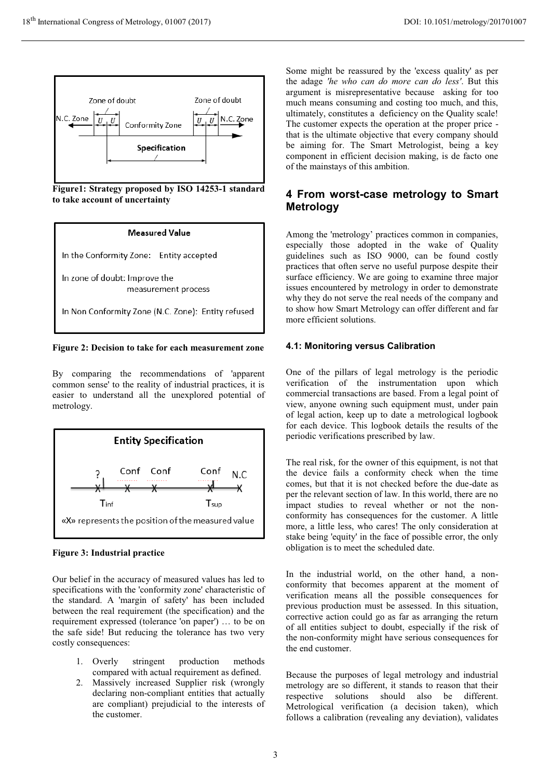

**Figure1: Strategy proposed by ISO 14253-1 standard to take account of uncertainty**

#### Measured Value

In the Conformity Zone: Entity accepted

In zone of doubt: Improve the measurement process

In Non Conformity Zone (N.C. Zone): Entity refused

**Figure 2: Decision to take for each measurement zone** 

By comparing the recommendations of 'apparent common sense' to the reality of industrial practices, it is easier to understand all the unexplored potential of metrology.



#### **Figure 3: Industrial practice**

Our belief in the accuracy of measured values has led to specifications with the 'conformity zone' characteristic of the standard. A 'margin of safety' has been included between the real requirement (the specification) and the requirement expressed (tolerance 'on paper') … to be on the safe side! But reducing the tolerance has two very costly consequences:

- 1. Overly stringent production methods compared with actual requirement as defined.
- 2. Massively increased Supplier risk (wrongly declaring non-compliant entities that actually are compliant) prejudicial to the interests of the customer.

Some might be reassured by the 'excess quality' as per the adage *'he who can do more can do less'*. But this argument is misrepresentative because asking for too much means consuming and costing too much, and this, ultimately, constitutes a deficiency on the Quality scale! The customer expects the operation at the proper price that is the ultimate objective that every company should be aiming for. The Smart Metrologist, being a key component in efficient decision making, is de facto one of the mainstays of this ambition.

### **4 From worst-case metrology to Smart Metrology**

Among the 'metrology' practices common in companies, especially those adopted in the wake of Quality guidelines such as ISO 9000, can be found costly practices that often serve no useful purpose despite their surface efficiency. We are going to examine three major issues encountered by metrology in order to demonstrate why they do not serve the real needs of the company and to show how Smart Metrology can offer different and far more efficient solutions.

#### **4.1: Monitoring versus Calibration**

One of the pillars of legal metrology is the periodic verification of the instrumentation upon which commercial transactions are based. From a legal point of view, anyone owning such equipment must, under pain of legal action, keep up to date a metrological logbook for each device. This logbook details the results of the periodic verifications prescribed by law.

The real risk, for the owner of this equipment, is not that the device fails a conformity check when the time comes, but that it is not checked before the due-date as per the relevant section of law. In this world, there are no impact studies to reveal whether or not the nonconformity has consequences for the customer. A little more, a little less, who cares! The only consideration at stake being 'equity' in the face of possible error, the only obligation is to meet the scheduled date.

In the industrial world, on the other hand, a nonconformity that becomes apparent at the moment of verification means all the possible consequences for previous production must be assessed. In this situation, corrective action could go as far as arranging the return of all entities subject to doubt, especially if the risk of the non-conformity might have serious consequences for the end customer.

Because the purposes of legal metrology and industrial metrology are so different, it stands to reason that their respective solutions should also be different. Metrological verification (a decision taken), which follows a calibration (revealing any deviation), validates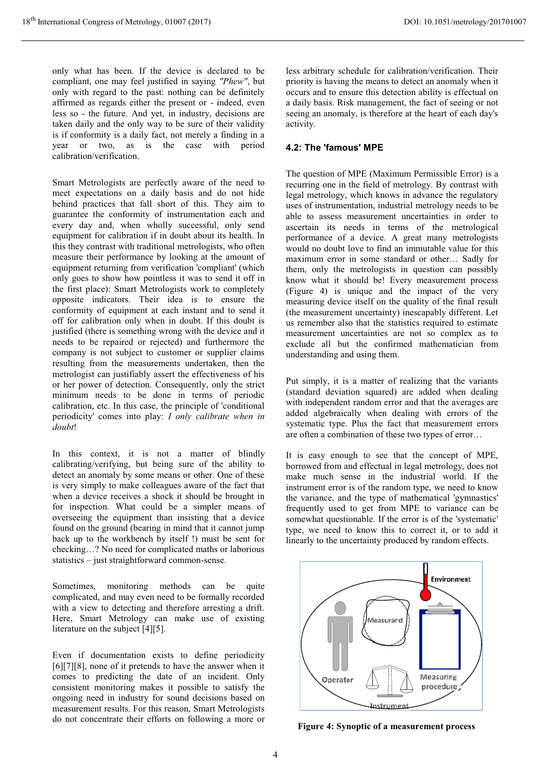only what has been. If the device is declared to be compliant, one may feel justified in saying *"Phew"*, but only with regard to the past: nothing can be definitely affirmed as regards either the present or - indeed, even less so - the future. And yet, in industry, decisions are taken daily and the only way to be sure of their validity is if conformity is a daily fact, not merely a finding in a year or two, as is the case with period calibration/verification.

Smart Metrologists are perfectly aware of the need to meet expectations on a daily basis and do not hide behind practices that fall short of this. They aim to guarantee the conformity of instrumentation each and every day and, when wholly successful, only send equipment for calibration if in doubt about its health. In this they contrast with traditional metrologists, who often measure their performance by looking at the amount of equipment returning from verification 'compliant' (which only goes to show how pointless it was to send it off in the first place): Smart Metrologists work to completely opposite indicators. Their idea is to ensure the conformity of equipment at each instant and to send it off for calibration only when in doubt. If this doubt is justified (there is something wrong with the device and it needs to be repaired or rejected) and furthermore the company is not subject to customer or supplier claims resulting from the measurements undertaken, then the metrologist can justifiably assert the effectiveness of his or her power of detection. Consequently, only the strict minimum needs to be done in terms of periodic calibration, etc. In this case, the principle of 'conditional periodicity' comes into play: *I only calibrate when in doubt*!

In this context, it is not a matter of blindly calibrating/verifying, but being sure of the ability to detect an anomaly by some means or other. One of these is very simply to make colleagues aware of the fact that when a device receives a shock it should be brought in for inspection. What could be a simpler means of overseeing the equipment than insisting that a device found on the ground (bearing in mind that it cannot jump back up to the workbench by itself !) must be sent for checking…? No need for complicated maths or laborious statistics – just straightforward common-sense.

Sometimes, monitoring methods can be quite complicated, and may even need to be formally recorded with a view to detecting and therefore arresting a drift. Here, Smart Metrology can make use of existing literature on the subject [4][5].

Even if documentation exists to define periodicity [6][7][8], none of it pretends to have the answer when it comes to predicting the date of an incident. Only consistent monitoring makes it possible to satisfy the ongoing need in industry for sound decisions based on measurement results. For this reason, Smart Metrologists do not concentrate their efforts on following a more or

less arbitrary schedule for calibration/verification. Their priority is having the means to detect an anomaly when it occurs and to ensure this detection ability is effectual on a daily basis. Risk management, the fact of seeing or not seeing an anomaly, is therefore at the heart of each day's activity.

#### **4.2: The 'famous' MPE**

The question of MPE (Maximum Permissible Error) is a recurring one in the field of metrology. By contrast with legal metrology, which knows in advance the regulatory uses of instrumentation, industrial metrology needs to be able to assess measurement uncertainties in order to ascertain its needs in terms of the metrological performance of a device. A great many metrologists would no doubt love to find an immutable value for this maximum error in some standard or other… Sadly for them, only the metrologists in question can possibly know what it should be! Every measurement process (Figure 4) is unique and the impact of the very measuring device itself on the quality of the final result (the measurement uncertainty) inescapably different. Let us remember also that the statistics required to estimate measurement uncertainties are not so complex as to exclude all but the confirmed mathematician from understanding and using them.

Put simply, it is a matter of realizing that the variants (standard deviation squared) are added when dealing with independent random error and that the averages are added algebraically when dealing with errors of the systematic type. Plus the fact that measurement errors are often a combination of these two types of error…

It is easy enough to see that the concept of MPE, borrowed from and effectual in legal metrology, does not make much sense in the industrial world. If the instrument error is of the random type, we need to know the variance, and the type of mathematical 'gymnastics' frequently used to get from MPE to variance can be somewhat questionable. If the error is of the 'systematic' type, we need to know this to correct it, or to add it linearly to the uncertainty produced by random effects.



**Figure 4: Synoptic of a measurement process**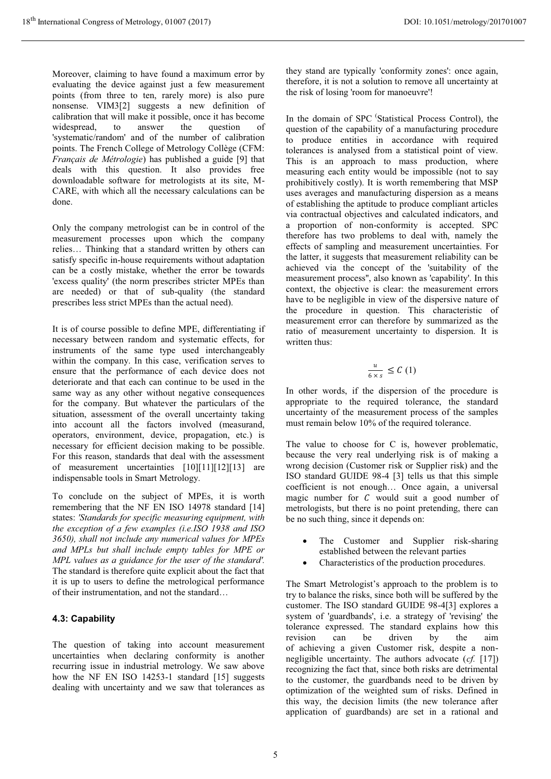Moreover, claiming to have found a maximum error by evaluating the device against just a few measurement points (from three to ten, rarely more) is also pure nonsense. VIM3[2] suggests a new definition of calibration that will make it possible, once it has become widespread, to answer the question of 'systematic/random' and of the number of calibration points. The French College of Metrology Collège (CFM: *Français de Métrologie*) has published a guide [9] that deals with this question. It also provides free downloadable software for metrologists at its site, M-CARE, with which all the necessary calculations can be done.

Only the company metrologist can be in control of the measurement processes upon which the company relies… Thinking that a standard written by others can satisfy specific in-house requirements without adaptation can be a costly mistake, whether the error be towards 'excess quality' (the norm prescribes stricter MPEs than are needed) or that of sub-quality (the standard prescribes less strict MPEs than the actual need).

It is of course possible to define MPE, differentiating if necessary between random and systematic effects, for instruments of the same type used interchangeably within the company. In this case, verification serves to ensure that the performance of each device does not deteriorate and that each can continue to be used in the same way as any other without negative consequences for the company. But whatever the particulars of the situation, assessment of the overall uncertainty taking into account all the factors involved (measurand, operators, environment, device, propagation, etc.) is necessary for efficient decision making to be possible. For this reason, standards that deal with the assessment of measurement uncertainties [10][11][12][13] are indispensable tools in Smart Metrology.

To conclude on the subject of MPEs, it is worth remembering that the NF EN ISO 14978 standard [14] states: *'Standards for specific measuring equipment, with the exception of a few examples (i.e.ISO 1938 and ISO 3650), shall not include any numerical values for MPEs and MPLs but shall include empty tables for MPE or MPL values as a guidance for the user of the standard'.*  The standard is therefore quite explicit about the fact that it is up to users to define the metrological performance of their instrumentation, and not the standard…

### **4.3: Capability**

The question of taking into account measurement uncertainties when declaring conformity is another recurring issue in industrial metrology. We saw above how the NF EN ISO 14253-1 standard [15] suggests dealing with uncertainty and we saw that tolerances as

they stand are typically 'conformity zones': once again, therefore, it is not a solution to remove all uncertainty at the risk of losing 'room for manoeuvre'!

In the domain of SPC (Statistical Process Control), the question of the capability of a manufacturing procedure to produce entities in accordance with required tolerances is analysed from a statistical point of view. This is an approach to mass production, where measuring each entity would be impossible (not to say prohibitively costly). It is worth remembering that MSP uses averages and manufacturing dispersion as a means of establishing the aptitude to produce compliant articles via contractual objectives and calculated indicators, and a proportion of non-conformity is accepted. SPC therefore has two problems to deal with, namely the effects of sampling and measurement uncertainties. For the latter, it suggests that measurement reliability can be achieved via the concept of the 'suitability of the measurement process'', also known as 'capability'. In this context, the objective is clear: the measurement errors have to be negligible in view of the dispersive nature of the procedure in question. This characteristic of measurement error can therefore by summarized as the ratio of measurement uncertainty to dispersion. It is written thus:

$$
\frac{u}{6\times s}\leq C\left(1\right)
$$

In other words, if the dispersion of the procedure is appropriate to the required tolerance, the standard uncertainty of the measurement process of the samples must remain below 10% of the required tolerance.

The value to choose for C is, however problematic, because the very real underlying risk is of making a wrong decision (Customer risk or Supplier risk) and the ISO standard GUIDE 98-4 [3] tells us that this simple coefficient is not enough… Once again, a universal magic number for  $C$  would suit a good number of metrologists, but there is no point pretending, there can be no such thing, since it depends on:

- - The Customer and Supplier risk-sharing established between the relevant parties
- -Characteristics of the production procedures.

The Smart Metrologist's approach to the problem is to try to balance the risks, since both will be suffered by the customer. The ISO standard GUIDE 98-4[3] explores a system of 'guardbands', i.e. a strategy of 'revising' the tolerance expressed. The standard explains how this revision can be driven by the aim of achieving a given Customer risk, despite a nonnegligible uncertainty. The authors advocate (*cf.* [17]) recognizing the fact that, since both risks are detrimental to the customer, the guardbands need to be driven by optimization of the weighted sum of risks. Defined in this way, the decision limits (the new tolerance after application of guardbands) are set in a rational and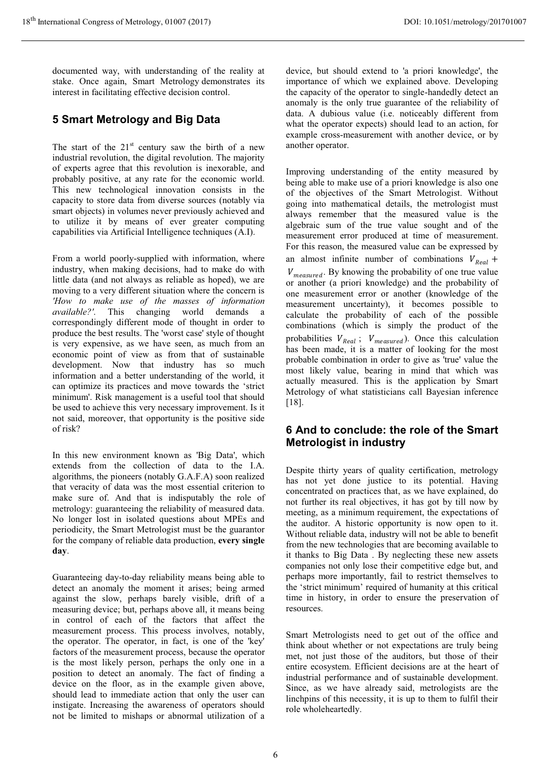documented way, with understanding of the reality at stake. Once again, Smart Metrology demonstrates its interest in facilitating effective decision control.

## **5 Smart Metrology and Big Data**

The start of the  $21<sup>st</sup>$  century saw the birth of a new industrial revolution, the digital revolution. The majority of experts agree that this revolution is inexorable, and probably positive, at any rate for the economic world. This new technological innovation consists in the capacity to store data from diverse sources (notably via smart objects) in volumes never previously achieved and to utilize it by means of ever greater computing capabilities via Artificial Intelligence techniques (A.I).

From a world poorly-supplied with information, where industry, when making decisions, had to make do with little data (and not always as reliable as hoped), we are moving to a very different situation where the concern is *'How to make use of the masses of information available?'*. This changing world demands a correspondingly different mode of thought in order to produce the best results. The 'worst case' style of thought is very expensive, as we have seen, as much from an economic point of view as from that of sustainable development. Now that industry has so much information and a better understanding of the world, it can optimize its practices and move towards the 'strict minimum'. Risk management is a useful tool that should be used to achieve this very necessary improvement. Is it not said, moreover, that opportunity is the positive side of risk?

In this new environment known as 'Big Data', which extends from the collection of data to the I.A. algorithms, the pioneers (notably G.A.F.A) soon realized that veracity of data was the most essential criterion to make sure of. And that is indisputably the role of metrology: guaranteeing the reliability of measured data. No longer lost in isolated questions about MPEs and periodicity, the Smart Metrologist must be the guarantor for the company of reliable data production, **every single day**.

Guaranteeing day-to-day reliability means being able to detect an anomaly the moment it arises; being armed against the slow, perhaps barely visible, drift of a measuring device; but, perhaps above all, it means being in control of each of the factors that affect the measurement process. This process involves, notably, the operator. The operator, in fact, is one of the 'key' factors of the measurement process, because the operator is the most likely person, perhaps the only one in a position to detect an anomaly. The fact of finding a device on the floor, as in the example given above, should lead to immediate action that only the user can instigate. Increasing the awareness of operators should not be limited to mishaps or abnormal utilization of a

device, but should extend to 'a priori knowledge', the importance of which we explained above. Developing the capacity of the operator to single-handedly detect an anomaly is the only true guarantee of the reliability of data. A dubious value (i.e. noticeably different from what the operator expects) should lead to an action, for example cross-measurement with another device, or by another operator.

Improving understanding of the entity measured by being able to make use of a priori knowledge is also one of the objectives of the Smart Metrologist. Without going into mathematical details, the metrologist must always remember that the measured value is the algebraic sum of the true value sought and of the measurement error produced at time of measurement. For this reason, the measured value can be expressed by an almost infinite number of combinations  $V_{Real}$  +  $V_{measured}$ . By knowing the probability of one true value or another (a priori knowledge) and the probability of one measurement error or another (knowledge of the measurement uncertainty), it becomes possible to calculate the probability of each of the possible combinations (which is simply the product of the probabilities  $V_{Real}$ ;  $V_{measured}$ ). Once this calculation has been made, it is a matter of looking for the most probable combination in order to give as 'true' value the most likely value, bearing in mind that which was actually measured. This is the application by Smart Metrology of what statisticians call Bayesian inference [18].

### **6 And to conclude: the role of the Smart Metrologist in industry**

Despite thirty years of quality certification, metrology has not yet done justice to its potential. Having concentrated on practices that, as we have explained, do not further its real objectives, it has got by till now by meeting, as a minimum requirement, the expectations of the auditor. A historic opportunity is now open to it. Without reliable data, industry will not be able to benefit from the new technologies that are becoming available to it thanks to Big Data . By neglecting these new assets companies not only lose their competitive edge but, and perhaps more importantly, fail to restrict themselves to the 'strict minimum' required of humanity at this critical time in history, in order to ensure the preservation of resources.

Smart Metrologists need to get out of the office and think about whether or not expectations are truly being met, not just those of the auditors, but those of their entire ecosystem. Efficient decisions are at the heart of industrial performance and of sustainable development. Since, as we have already said, metrologists are the linchpins of this necessity, it is up to them to fulfil their role wholeheartedly.